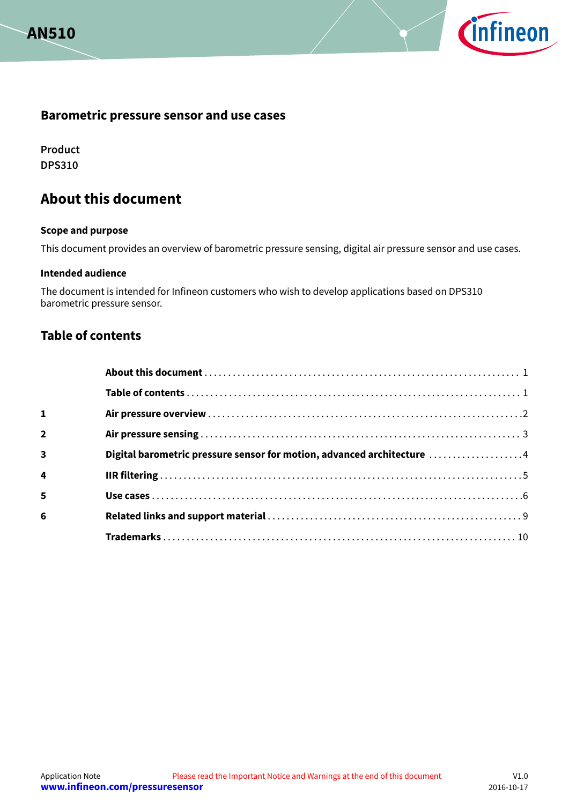



## **Barometric pressure sensor and use cases**

**Product DPS310**

# **About this document**

#### **Scope and purpose**

This document provides an overview of barometric pressure sensing, digital air pressure sensor and use cases.

#### **Intended audience**

The document is intended for Infineon customers who wish to develop applications based on DPS310 barometric pressure sensor.

## **Table of contents**

| $\mathbf{1}$            |                                                                        |  |
|-------------------------|------------------------------------------------------------------------|--|
| $\overline{2}$          |                                                                        |  |
| $\overline{\mathbf{3}}$ | Digital barometric pressure sensor for motion, advanced architecture 4 |  |
| 4                       |                                                                        |  |
| 5                       |                                                                        |  |
| 6                       |                                                                        |  |
|                         |                                                                        |  |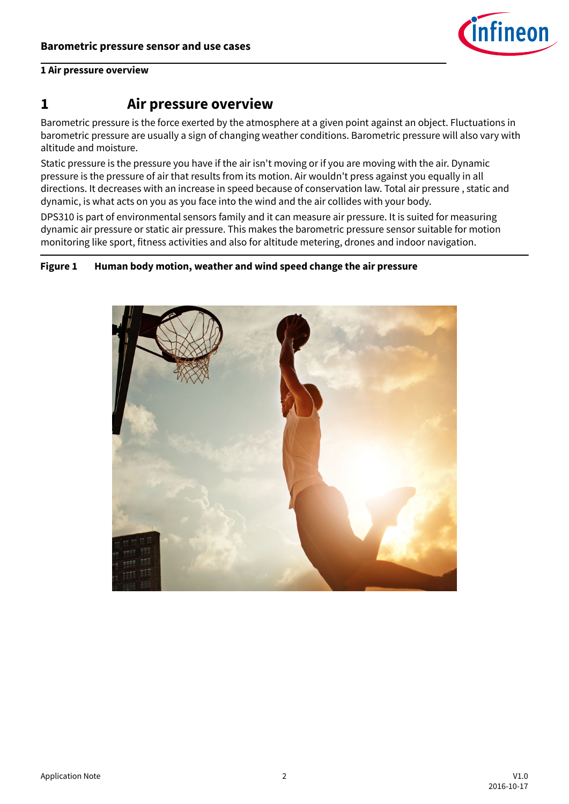

### <span id="page-1-0"></span>**1 Air pressure overview**

# **1 Air pressure overview**

Barometric pressure is the force exerted by the atmosphere at a given point against an object. Fluctuations in barometric pressure are usually a sign of changing weather conditions. Barometric pressure will also vary with altitude and moisture.

Static pressure is the pressure you have if the air isn't moving or if you are moving with the air. Dynamic pressure is the pressure of air that results from its motion. Air wouldn't press against you equally in all directions. It decreases with an increase in speed because of conservation law. Total air pressure , static and dynamic, is what acts on you as you face into the wind and the air collides with your body.

DPS310 is part of environmental sensors family and it can measure air pressure. It is suited for measuring dynamic air pressure or static air pressure. This makes the barometric pressure sensor suitable for motion monitoring like sport, fitness activities and also for altitude metering, drones and indoor navigation.

### **Figure 1 Human body motion, weather and wind speed change the air pressure**

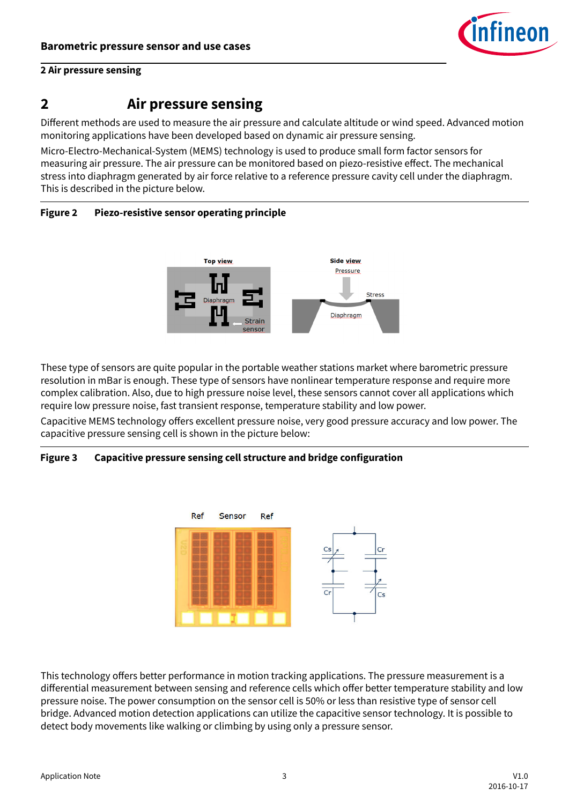

## <span id="page-2-0"></span>**2 Air pressure sensing**

# **2 Air pressure sensing**

Different methods are used to measure the air pressure and calculate altitude or wind speed. Advanced motion monitoring applications have been developed based on dynamic air pressure sensing.

Micro-Electro-Mechanical-System (MEMS) technology is used to produce small form factor sensors for measuring air pressure. The air pressure can be monitored based on piezo-resistive effect. The mechanical stress into diaphragm generated by air force relative to a reference pressure cavity cell under the diaphragm. This is described in the picture below.





These type of sensors are quite popular in the portable weather stations market where barometric pressure resolution in mBar is enough. These type of sensors have nonlinear temperature response and require more complex calibration. Also, due to high pressure noise level, these sensors cannot cover all applications which require low pressure noise, fast transient response, temperature stability and low power.

Capacitive MEMS technology offers excellent pressure noise, very good pressure accuracy and low power. The capacitive pressure sensing cell is shown in the picture below:

## **Figure 3 Capacitive pressure sensing cell structure and bridge configuration**



This technology offers better performance in motion tracking applications. The pressure measurement is a differential measurement between sensing and reference cells which offer better temperature stability and low pressure noise. The power consumption on the sensor cell is 50% or less than resistive type of sensor cell bridge. Advanced motion detection applications can utilize the capacitive sensor technology. It is possible to detect body movements like walking or climbing by using only a pressure sensor.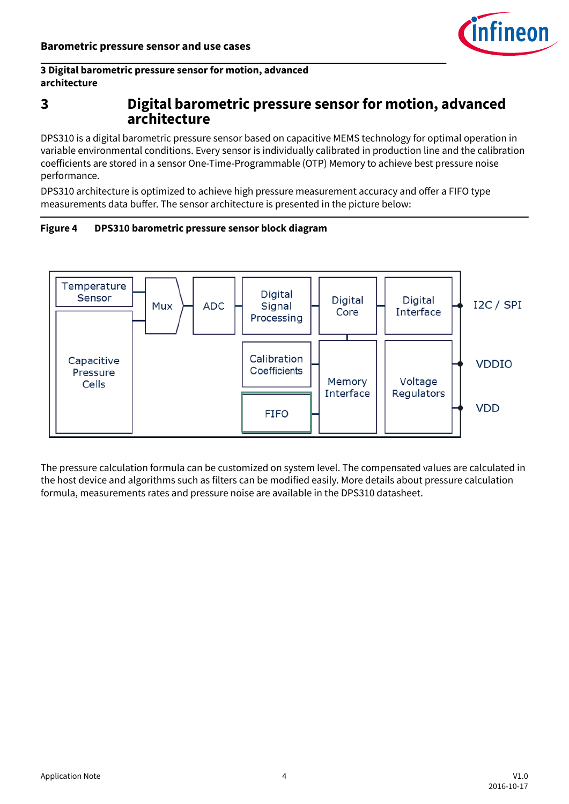

## <span id="page-3-0"></span>**3 Digital barometric pressure sensor for motion, advanced architecture**

# **3 Digital barometric pressure sensor for motion, advanced architecture**

DPS310 is a digital barometric pressure sensor based on capacitive MEMS technology for optimal operation in variable environmental conditions. Every sensor is individually calibrated in production line and the calibration coefficients are stored in a sensor One-Time-Programmable (OTP) Memory to achieve best pressure noise performance.

DPS310 architecture is optimized to achieve high pressure measurement accuracy and offer a FIFO type measurements data buffer. The sensor architecture is presented in the picture below:





The pressure calculation formula can be customized on system level. The compensated values are calculated in the host device and algorithms such as filters can be modified easily. More details about pressure calculation formula, measurements rates and pressure noise are available in the DPS310 datasheet.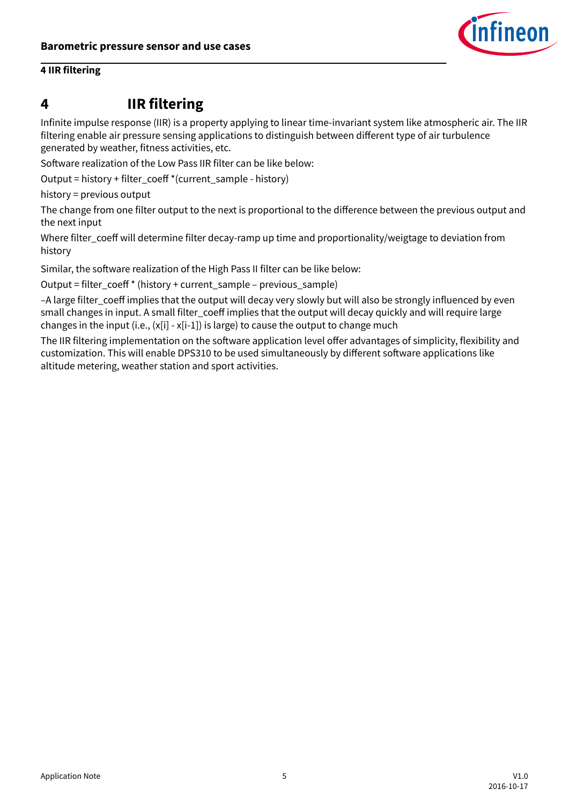

## <span id="page-4-0"></span>**4 IIR filtering**

# **4 IIR filtering**

Infinite impulse response (IIR) is a property applying to linear time-invariant system like atmospheric air. The IIR filtering enable air pressure sensing applications to distinguish between different type of air turbulence generated by weather, fitness activities, etc.

Software realization of the Low Pass IIR filter can be like below:

Output = history + filter\_coeff \*(current\_sample - history)

history = previous output

The change from one filter output to the next is proportional to the difference between the previous output and the next input

Where filter coeff will determine filter decay-ramp up time and proportionality/weigtage to deviation from history

Similar, the software realization of the High Pass II filter can be like below:

Output = filter\_coeff \* (history + current\_sample – previous\_sample)

-A large filter\_coeff implies that the output will decay very slowly but will also be strongly influenced by even small changes in input. A small filter\_coeff implies that the output will decay quickly and will require large changes in the input (i.e., (x[i] - x[i-1]) is large) to cause the output to change much

The IIR filtering implementation on the software application level offer advantages of simplicity, flexibility and customization. This will enable DPS310 to be used simultaneously by different software applications like altitude metering, weather station and sport activities.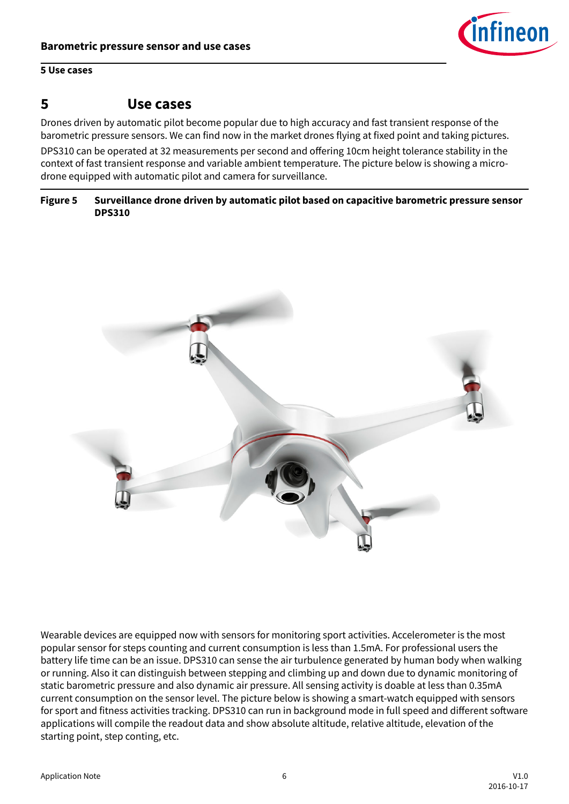

### <span id="page-5-0"></span>**5 Use cases**

# **5 Use cases**

Drones driven by automatic pilot become popular due to high accuracy and fast transient response of the barometric pressure sensors. We can find now in the market drones flying at fixed point and taking pictures.

DPS310 can be operated at 32 measurements per second and offering 10cm height tolerance stability in the context of fast transient response and variable ambient temperature. The picture below is showing a microdrone equipped with automatic pilot and camera for surveillance.

### **Figure 5 Surveillance drone driven by automatic pilot based on capacitive barometric pressure sensor DPS310**



Wearable devices are equipped now with sensors for monitoring sport activities. Accelerometer is the most popular sensor for steps counting and current consumption is less than 1.5mA. For professional users the battery life time can be an issue. DPS310 can sense the air turbulence generated by human body when walking or running. Also it can distinguish between stepping and climbing up and down due to dynamic monitoring of static barometric pressure and also dynamic air pressure. All sensing activity is doable at less than 0.35mA current consumption on the sensor level. The picture below is showing a smart-watch equipped with sensors for sport and fitness activities tracking. DPS310 can run in background mode in full speed and different software applications will compile the readout data and show absolute altitude, relative altitude, elevation of the starting point, step conting, etc.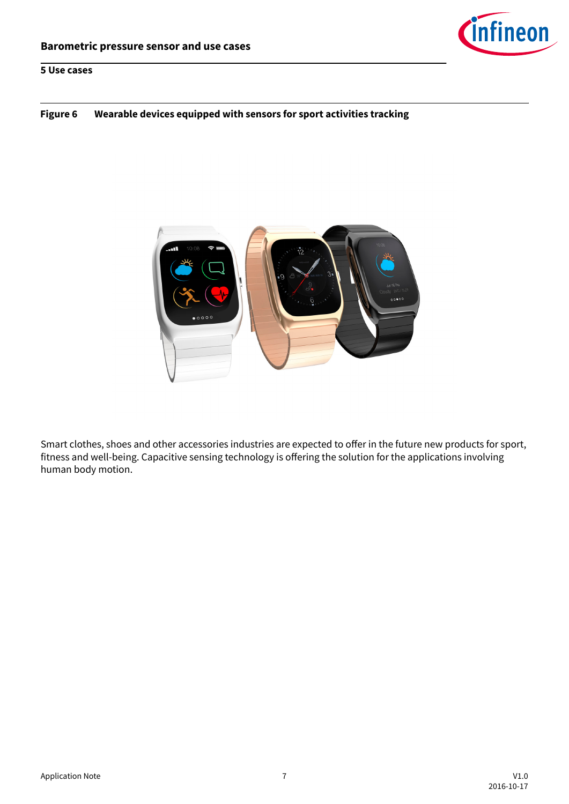

### **Figure 6 Wearable devices equipped with sensors for sport activities tracking**



Smart clothes, shoes and other accessories industries are expected to offer in the future new products for sport, fitness and well-being. Capacitive sensing technology is offering the solution for the applications involving human body motion.

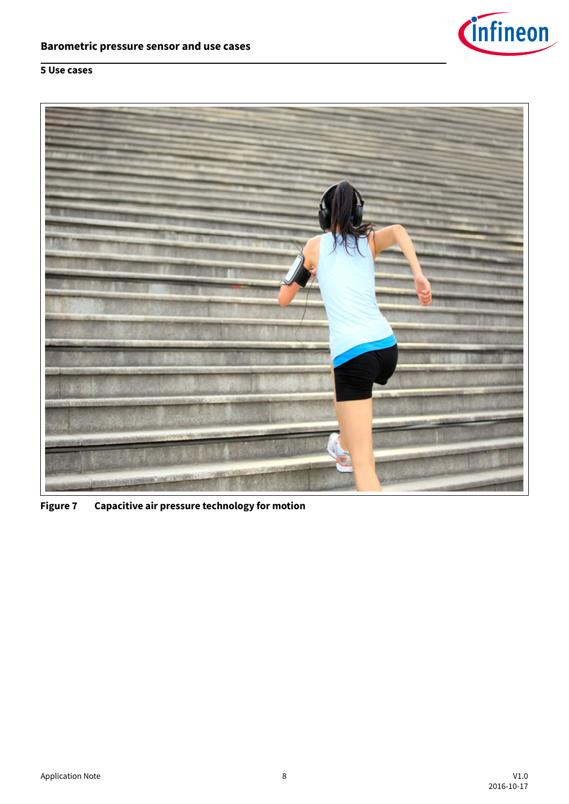

# **5 Use cases**



**Figure 7 Capacitive air pressure technology for motion**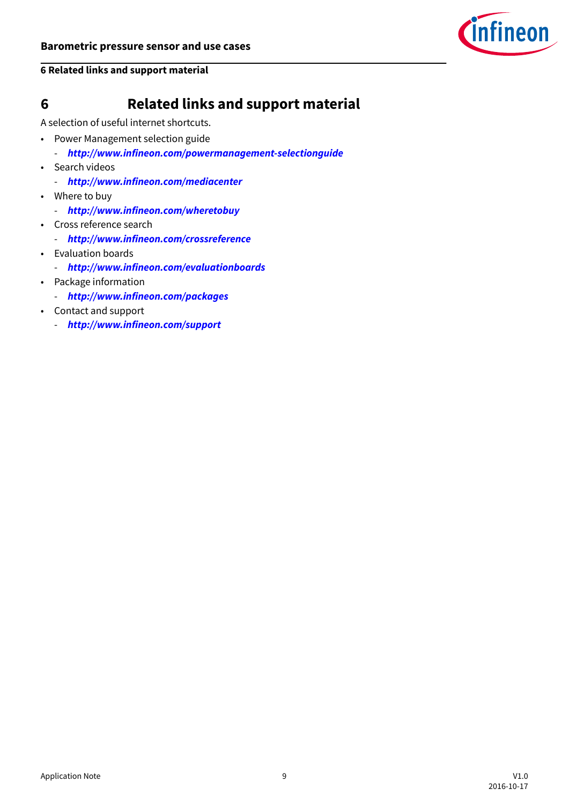

### <span id="page-8-0"></span>**6 Related links and support material**

# **6 Related links and support material**

A selection of useful internet shortcuts.

- Power Management selection guide
	- **<http://www.infineon.com/powermanagement-selectionguide>**
- Search videos
	- **<http://www.infineon.com/mediacenter>**
- Where to buy
	- **<http://www.infineon.com/wheretobuy>**
- Cross reference search
	- **<http://www.infineon.com/crossreference>**
- Evaluation boards
	- **<http://www.infineon.com/evaluationboards>**
- Package information
	- **<http://www.infineon.com/packages>**
- Contact and support
	- **<http://www.infineon.com/support>**